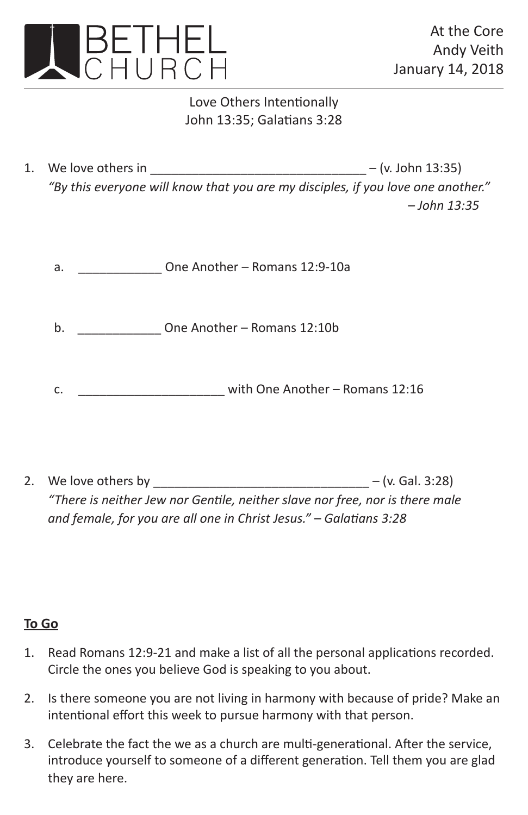

## Love Others Intentionally John 13:35; Galatians 3:28

- 1. We love others in  $-(v.$  John 13:35) *"By this everyone will know that you are my disciples, if you love one another." – John 13:35*
	- a. **DRIP One Another Romans 12:9-10a**

b. \_\_\_\_\_\_\_\_\_\_\_\_ One Another – Romans 12:10b

- c. \_\_\_\_\_\_\_\_\_\_\_\_\_\_\_\_\_\_\_\_\_ with One Another Romans 12:16
- 2. We love others by  $-$  (v. Gal. 3:28) *"There is neither Jew nor Gentile, neither slave nor free, nor is there male and female, for you are all one in Christ Jesus." – Galatians 3:28*

## **To Go**

- 1. Read Romans 12:9-21 and make a list of all the personal applications recorded. Circle the ones you believe God is speaking to you about.
- 2. Is there someone you are not living in harmony with because of pride? Make an intentional effort this week to pursue harmony with that person.
- 3. Celebrate the fact the we as a church are multi-generational. After the service, introduce yourself to someone of a different generation. Tell them you are glad they are here.